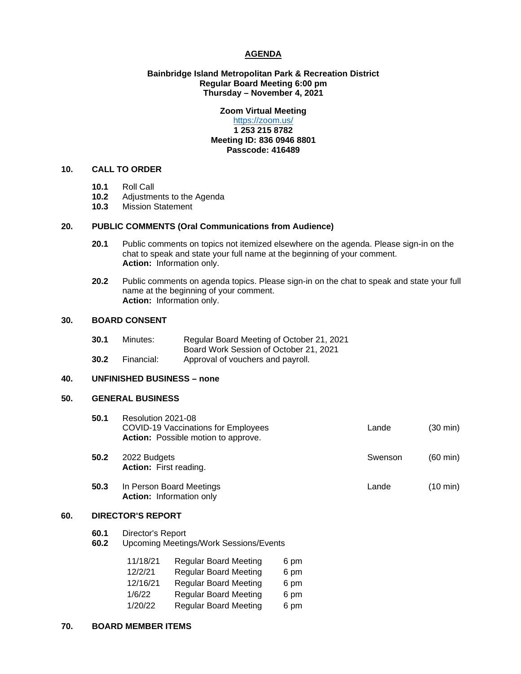# **AGENDA**

# **Bainbridge Island Metropolitan Park & Recreation District Regular Board Meeting 6:00 pm Thursday – November 4, 2021**

# **Zoom Virtual Meeting**

# <https://zoom.us/> **1 253 215 8782 Meeting ID: 836 0946 8801 Passcode: 416489**

# **10. CALL TO ORDER**

- **10.1** Roll Call
- 10.2 Adjustments to the Agenda<br>10.3 Mission Statement
- **10.3** Mission Statement

# **20. PUBLIC COMMENTS (Oral Communications from Audience)**

- **20.1** Public comments on topics not itemized elsewhere on the agenda. Please sign-in on the chat to speak and state your full name at the beginning of your comment. **Action:** Information only.
- **20.2** Public comments on agenda topics. Please sign-in on the chat to speak and state your full name at the beginning of your comment. **Action:** Information only.

# **30. BOARD CONSENT**

| 30.1 | Minutes:   | Regular Board Meeting of October 21, 2021 |
|------|------------|-------------------------------------------|
|      |            | Board Work Session of October 21, 2021    |
| 30.2 | Financial: | Approval of vouchers and payroll.         |

# **40. UNFINISHED BUSINESS – none**

# **50. GENERAL BUSINESS**

| 50.1 | Resolution 2021-08<br><b>COVID-19 Vaccinations for Employees</b><br><b>Action:</b> Possible motion to approve. | Lande   | (30 min)           |
|------|----------------------------------------------------------------------------------------------------------------|---------|--------------------|
| 50.2 | 2022 Budgets<br><b>Action:</b> First reading.                                                                  | Swenson | $(60 \text{ min})$ |
| 50.3 | In Person Board Meetings<br><b>Action:</b> Information only                                                    | Lande   | $(10 \text{ min})$ |

## **60. DIRECTOR'S REPORT**

- **60.1** Director's Report<br>**60.2** Upcoming Meetin
- **60.2** Upcoming Meetings/Work Sessions/Events

| 11/18/21 | <b>Regular Board Meeting</b> | 6 pm |
|----------|------------------------------|------|
| 12/2/21  | <b>Regular Board Meeting</b> | 6 pm |
| 12/16/21 | <b>Regular Board Meeting</b> | 6 pm |
| 1/6/22   | <b>Regular Board Meeting</b> | 6 pm |
| 1/20/22  | <b>Regular Board Meeting</b> | 6 pm |

#### **70. BOARD MEMBER ITEMS**